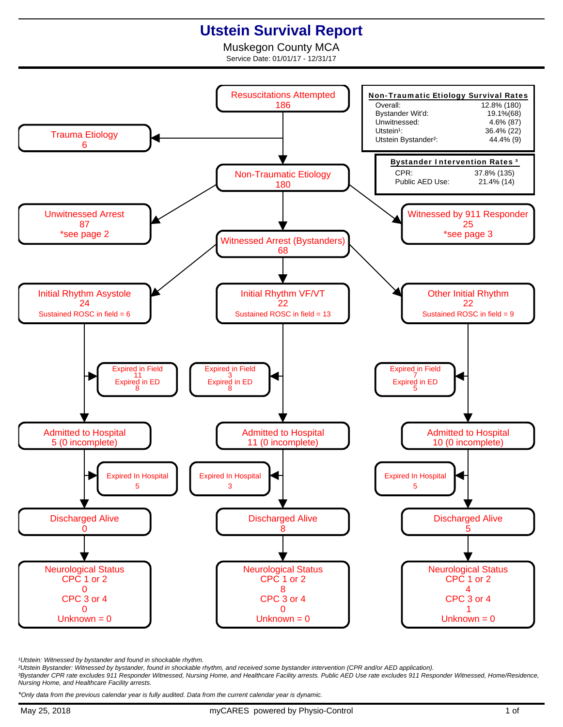## **Utstein Survival Report**

Muskegon County MCA Service Date: 01/01/17 - 12/31/17



<sup>1</sup>Utstein: Witnessed by bystander and found in shockable rhythm.

²Utstein Bystander: Witnessed by bystander, found in shockable rhythm, and received some bystander intervention (CPR and/or AED application).

³Bystander CPR rate excludes 911 Responder Witnessed, Nursing Home, and Healthcare Facility arrests. Public AED Use rate excludes 911 Responder Witnessed, Home/Residence, Nursing Home, and Healthcare Facility arrests.

\*Only data from the previous calendar year is fully audited. Data from the current calendar year is dynamic.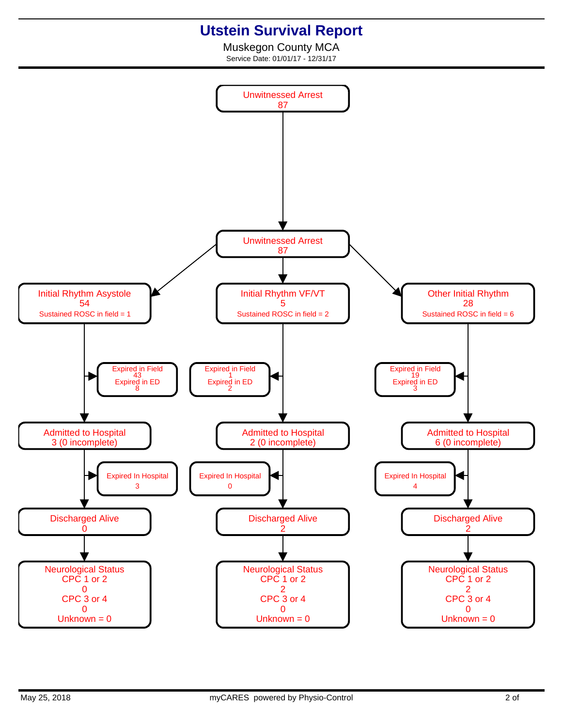## **Utstein Survival Report**

Muskegon County MCA Service Date: 01/01/17 - 12/31/17